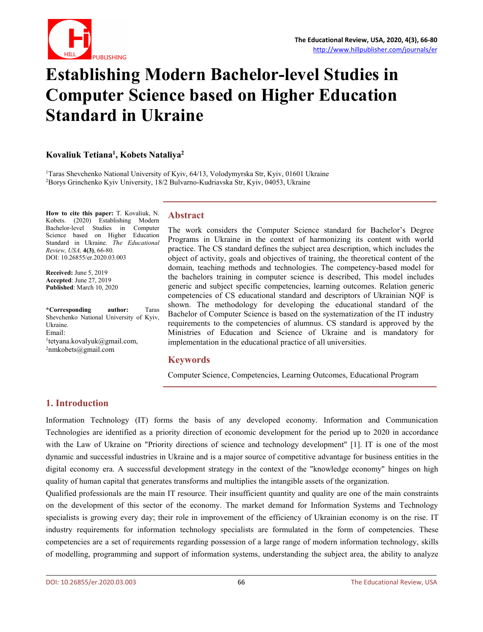

# **Establishing Modern Bachelor-level Studies in Computer Science based on Higher Education Standard in Ukraine**

#### **Kovaliuk Tetiana 1 , Kobets Nataliya 2**

<sup>1</sup>Taras Shevchenko National University of Kyiv, 64/13, Volodymyrska Str, Kyiv, 01601 Ukraine <sup>2</sup>Borys Grinchenko Kyiv University,18/2 Bulvarno-Kudriavska Str, Kyiv, 04053, Ukraine

**How to cite this paper:** T. Kovaliuk, N. Kobets. (2020) Establishing Modern Bachelor-level Studies in Computer The work Science based on Higher Education  $\overline{D}$ Standard in Ukraine. *The Educational Review, USA,* **4(3)**, 66-80. DOI: 10.26855/er.2020.03.003

**Received:** June 5, 2019 **Accepted**: June 27, 2019 **Published**: March 10, 2020

**\*Corresponding author:** Taras Shevchenko National University of Kyiv, Ukraine. Email: <sup>1</sup>[tetyana.kovalyuk@gmail.com,](mailto:tetyana.kovalyuk@gmail.com) ir  $2$ [nmkobets@gmail.com](mailto:nmkobets@gmail.com)

### **Abstract**

The work considers the Computer Science standard for Bachelor's Degree Programs in Ukraine in the context of harmonizing its content with world practice. The CS standard defines the subject area description, which includes the object of activity, goals and objectives of training, the theoretical content of the domain, teaching methods and technologies. The competency-based model for the bachelors training in computer science is described, This model includes generic and subject specific competencies, learning outcomes. Relation generic competencies of CS educational standard and descriptors of Ukrainian NQF is shown. The methodology for developing the educational standard of the Bachelor of Computer Science isbased on the systematization of the IT industry requirements to the competencies of alumnus. CS standard is approved by the Ministries of Education and Science of Ukraine and is mandatory for implementation in the educational practice of all universities.

### **Keywords**

Computer Science, Competencies, Learning Outcomes, Educational Program

# **1. Introduction**

Information Technology (IT) forms the basis of any developed economy. Information and Communication Technologies are identified as a priority direction of economic development for the period up to 2020 in accordance with the Law of Ukraine on "Priority directions of science and technology development" [1]. IT is one of the most dynamic and successful industries in Ukraine and is a major source of competitive advantage for business entities in the digital economy era. A successful development strategy in the context of the "knowledge economy" hinges on high quality of human capital that generates transforms and multiplies the intangible assets ofthe organization.

Qualified professionals are the main IT resource. Their insufficient quantity and quality are one of the main constraints on the development of this sector of the economy. The market demand for Information Systems and Technology specialists is growing every day; their role in improvement of the efficiency of Ukrainian economy is on the rise. IT industry requirements for information technology specialists are formulated in the form of competencies. These competencies are a set of requirements regarding possession of a large range of modern information technology, skills of modelling, programming and support of information systems, understanding the subject area, the ability to analyze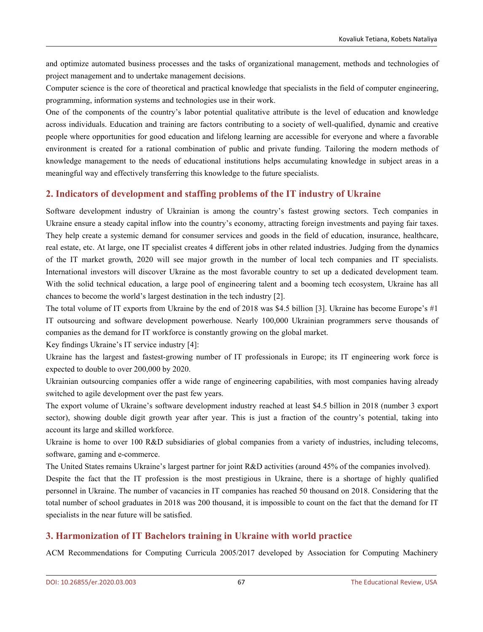and optimize automated business processes and the tasks of organizational management, methods and technologies of project management and to undertake management decisions.

Computer science is the core of theoretical and practical knowledge that specialists in the field of computer engineering, programming, information systems and technologies use in their work.

One of the components of the country's labor potential qualitative attribute is the level of education and knowledge across individuals. Education and training are factors contributing to a society of well-qualified, dynamic and creative people where opportunities for good education and lifelong learning are accessible for everyone and where a favorable environment is created for a rational combination of public and private funding. Tailoring the modern methods of knowledge management to the needs of educational institutions helps accumulating knowledge in subject areas in a meaningful way and effectively transferring this knowledge to the future specialists.

# **2. Indicators ofdevelopment and staffing problems of the IT industry of Ukraine**

Software development industry of Ukrainian is among the country's fastest growing sectors. Tech companies in Ukraine ensure a steady capital inflow into the country's economy, attracting foreign investments and paying fair taxes. They help create a systemic demand for consumer services and goods in the field of education, insurance, healthcare, real estate, etc. At large, one IT specialist creates 4 different jobs in other related industries. Judging from the dynamics of the IT market growth,2020 will see major growth in the number of local tech companies and IT specialists. International investors will discover Ukraine as the most favorable country to set up a dedicated development team. With the solid technical education, a large pool of engineering talent and a booming tech ecosystem, Ukraine has all chances to become the world's largest destination in the tech industry [2].

The total volume of IT exports from Ukraine by the end of 2018 was \$4.5 billion [3]. Ukraine has become Europe's #1 IT outsourcing and software development powerhouse. Nearly 100,000 Ukrainian programmers serve thousands of companies as the demand for IT workforce is constantly growing on the globalmarket.

Key findings Ukraine's IT service industry [4]:

Ukraine has the largest and fastest-growing number of IT professionals in Europe; its IT engineering work force is expected to double to over 200,000 by 2020.

Ukrainian outsourcing companies offer a wide range of engineering capabilities, with most companies having already switched to agile development over the past few years.

The export volume of Ukraine's software development industry reached at least \$4.5 billion in 2018 (number 3 export sector), showing double digit growth year after year. This is just a fraction of the country's potential, taking into account its large and skilled workforce.

Ukraine is home to over 100 R&D subsidiaries of global companies from a variety of industries, including telecoms, software, gaming and e-commerce.

The United States remains Ukraine's largest partner for joint R&D activities (around 45% ofthe companies involved).

Despite the fact that the IT profession is the most prestigious in Ukraine, there is a shortage of highly qualified personnel in Ukraine. The number of vacancies in IT companies has reached 50 thousand on 2018. Considering that the total number of school graduates in 2018 was 200 thousand, it is impossible to count on the fact that the demand for IT specialists in the near future will be satisfied.

# **3. Harmonization of IT Bachelors training in Ukraine with world practice**

ACM Recommendations for Computing Curricula 2005/2017 developed by Association for Computing Machinery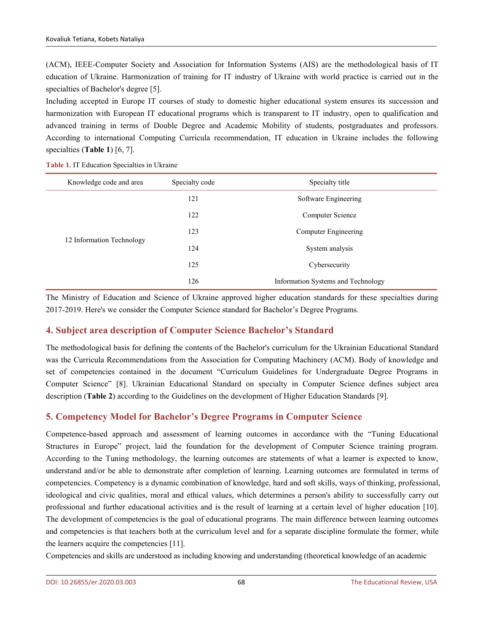(ACM), IEEE-Computer Society and Association for Information Systems (AIS) are the methodological basis of IT education of Ukraine. Harmonization of training for IT industry of Ukraine with world practice iscarried out in the specialties of Bachelor's degree [5].

Including accepted in Europe IT courses of study to domestic higher educational system ensures its succession and harmonization with European IT educational programs which is transparent to IT industry, open to qualification and advanced training in terms of Double Degree and Academic Mobility of students, postgraduates and professors. According to international Computing Curricula recommendation, IT education in Ukraine includes the following specialties (**Table 1**) [6, 7].

**Table 1.** IT Education Specialties in Ukraine

| Knowledge code and area   | Specialty code | Specialty title                    |
|---------------------------|----------------|------------------------------------|
|                           | 121            | Software Engineering               |
|                           | 122            | Computer Science                   |
|                           | 123            | Computer Engineering               |
| 12 Information Technology | 124            | System analysis                    |
|                           | 125            | Cybersecurity                      |
|                           | 126            | Information Systems and Technology |

The Ministry of Education and Science of Ukraine approved higher education standards for these specialties during 2017-2019. Here's we consider the Computer Science standard for Bachelor's Degree Programs.

# **4. Subject area description of Computer Science Bachelor's Standard**

The methodological basis for defining the contents of the Bachelor's curriculum for the Ukrainian Educational Standard was the Curricula Recommendations from the Association for Computing Machinery (ACM). Body of knowledge and set of competencies contained in the document "Curriculum Guidelines for Undergraduate Degree Programs in Computer Science" [8]. Ukrainian Educational Standard on specialty in Computer Science defines subject area description (**Table 2**) according to the Guidelines on the development of Higher Education Standards [9].

# **5. Competency Model for Bachelor's Degree Programs in Computer Science**

Competence-based approach and assessment of learning outcomes in accordance with the "Tuning Educational Structures in Europe" project, laid the foundation for the development of Computer Science training program. According to the Tuning methodology, the learning outcomes are statements of what a learner is expected to know, understand and/or be able to demonstrate after completion of learning. Learning outcomes are formulated in terms of competencies. Competency is a dynamic combination of knowledge, hard and soft skills, ways of thinking, professional, ideological and civic qualities, moral and ethical values, which determines a person's ability to successfully carry out professional and further educational activities and is the result of learning at a certain level of higher education [10]. The development of competencies is the goal of educational programs. The main difference between learning outcomes and competencies is that teachers both at the curriculum level and for a separate discipline formulate the former, while the learners acquire the competencies [11].

Competencies and skills are understood as including knowing and understanding (theoretical knowledge of an academic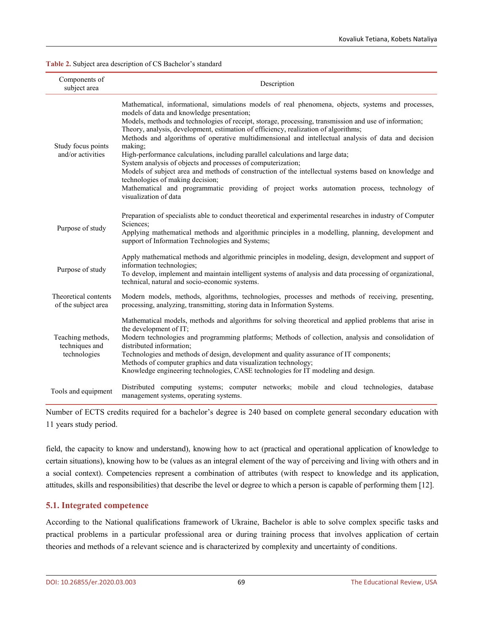**Table 2.** Subject area description of CS Bachelor's standard

| Components of<br>subject area                       | Description                                                                                                                                                                                                                                                                                                                                                                                                                                                                                                                                                                                                                                                                                                                                                                                                                                                                               |
|-----------------------------------------------------|-------------------------------------------------------------------------------------------------------------------------------------------------------------------------------------------------------------------------------------------------------------------------------------------------------------------------------------------------------------------------------------------------------------------------------------------------------------------------------------------------------------------------------------------------------------------------------------------------------------------------------------------------------------------------------------------------------------------------------------------------------------------------------------------------------------------------------------------------------------------------------------------|
| Study focus points<br>and/or activities             | Mathematical, informational, simulations models of real phenomena, objects, systems and processes,<br>models of data and knowledge presentation;<br>Models, methods and technologies of receipt, storage, processing, transmission and use of information;<br>Theory, analysis, development, estimation of efficiency, realization of algorithms;<br>Methods and algorithms of operative multidimensional and intellectual analysis of data and decision<br>making;<br>High-performance calculations, including parallel calculations and large data;<br>System analysis of objects and processes of computerization;<br>Models of subject area and methods of construction of the intellectual systems based on knowledge and<br>technologies of making decision;<br>Mathematical and programmatic providing of project works automation process, technology of<br>visualization of data |
| Purpose of study                                    | Preparation of specialists able to conduct theoretical and experimental researches in industry of Computer<br>Sciences:<br>Applying mathematical methods and algorithmic principles in a modelling, planning, development and<br>support of Information Technologies and Systems;                                                                                                                                                                                                                                                                                                                                                                                                                                                                                                                                                                                                         |
| Purpose of study                                    | Apply mathematical methods and algorithmic principles in modeling, design, development and support of<br>information technologies;<br>To develop, implement and maintain intelligent systems of analysis and data processing of organizational,<br>technical, natural and socio-economic systems.                                                                                                                                                                                                                                                                                                                                                                                                                                                                                                                                                                                         |
| Theoretical contents<br>of the subject area         | Modern models, methods, algorithms, technologies, processes and methods of receiving, presenting,<br>processing, analyzing, transmitting, storing data in Information Systems.                                                                                                                                                                                                                                                                                                                                                                                                                                                                                                                                                                                                                                                                                                            |
| Teaching methods,<br>techniques and<br>technologies | Mathematical models, methods and algorithms for solving theoretical and applied problems that arise in<br>the development of IT;<br>Modern technologies and programming platforms; Methods of collection, analysis and consolidation of<br>distributed information;<br>Technologies and methods of design, development and quality assurance of IT components;<br>Methods of computer graphics and data visualization technology;<br>Knowledge engineering technologies, CASE technologies for IT modeling and design.                                                                                                                                                                                                                                                                                                                                                                    |
| Tools and equipment                                 | Distributed computing systems; computer networks; mobile and cloud technologies, database<br>management systems, operating systems.                                                                                                                                                                                                                                                                                                                                                                                                                                                                                                                                                                                                                                                                                                                                                       |

Number of ECTS credits required for a bachelor's degree is240 based on complete general secondary education with 11 years study period.

field, the capacity to know and understand), knowing how to act (practical and operational application of knowledge to certain situations), knowing how to be (values asan integral element of the way of perceiving and living with others and in a social context). Competencies represent a combination of attributes (with respect to knowledge and its application, attitudes, skills and responsibilities) that describe the level or degree to which a person is capable of performing them [12].

#### **5.1. Integrated competence**

According to the National qualifications framework of Ukraine, Bachelor is able to solve complex specific tasks and practical problems in a particular professional area or during training process that involves application of certain theories and methods of a relevant science and is characterized by complexity and uncertainty of conditions.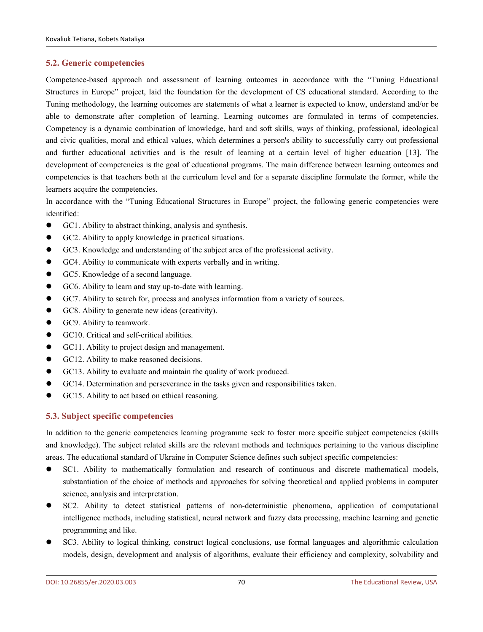#### **5.2. Generic competencies**

Competence-based approach and assessment of learning outcomes in accordance with the "Tuning Educational Structures in Europe" project, laid the foundation for the development of CS educational standard. According to the Tuning methodology, the learning outcomes are statements of what a learner is expected to know, understand and/or be able to demonstrate after completion of learning. Learning outcomes are formulated in terms of competencies. Competency is a dynamic combination of knowledge, hard and soft skills, ways of thinking, professional, ideological and civic qualities, moral and ethical values, which determines a person's ability to successfully carry out professional and further educational activities and is the result of learning at a certain level of higher education [13]. The development of competencies is the goal of educational programs. The main difference between learning outcomes and competencies is that teachers both at the curriculum level and for aseparate discipline formulate the former, while the learners acquire the competencies.

In accordance with the "Tuning Educational Structures in Europe" project, the following generic competencies were identified:

- GC1. Ability to abstract thinking, analysis and synthesis.
- GC2. Ability to apply knowledge in practical situations.
- GC3. Knowledge and understanding of the subject area of the professional activity.
- GC4. Ability to communicate with experts verbally and in writing.
- GC5. Knowledge of a second language.
- GC6. Ability to learn and stay up-to-date with learning.
- GC7. Ability to search for, process and analyses information from a variety of sources.
- GC8. Ability to generate new ideas (creativity).
- GC9. Ability to teamwork.
- GC10. Critical and self-critical abilities.
- GC11. Ability to project design and management.
- GC12. Ability to make reasoned decisions.
- GC13. Ability to evaluate and maintain the quality of work produced.
- GC14. Determination and perseverance in the tasks given and responsibilities taken.
- GC15. Ability to act based on ethical reasoning.

### **5.3. Subject specific competencies**

In addition to the generic competencies learning programme seek to foster more specific subject competencies (skills and knowledge). The subject related skills are the relevant methods and techniques pertaining to the various discipline areas. The educational standard of Ukraine in Computer Science defines such subject specific competencies:

- SC1. Ability to mathematically formulation and research of continuous and discrete mathematical models, substantiation of the choice of methods and approaches for solving theoretical and applied problems in computer science, analysis and interpretation.
- SC2. Ability to detect statistical patterns of non-deterministic phenomena, application of computational intelligence methods, including statistical, neural network and fuzzy data processing, machine learning and genetic programming and like.
- SC3. Ability to logical thinking, construct logical conclusions, use formal languages and algorithmic calculation models, design, development and analysis of algorithms, evaluate their efficiency and complexity, solvability and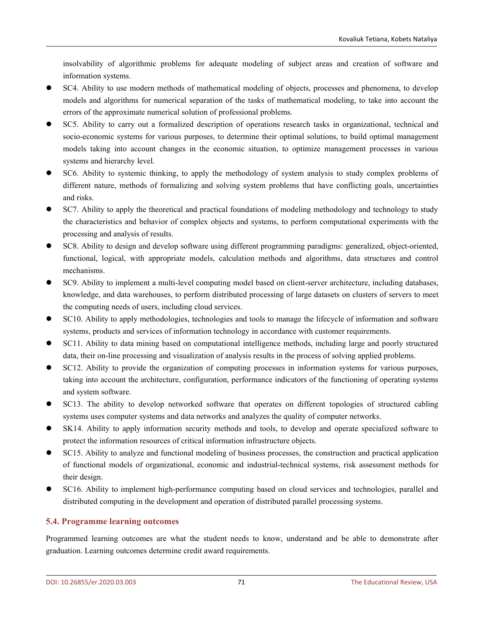insolvability of algorithmic problems for adequate modeling of subject areas and creation of software and information systems.

- SC4. Ability to use modern methods of mathematical modeling of objects, processes and phenomena, to develop models and algorithms for numerical separation of the tasks of mathematical modeling, to take into account the errors of the approximate numerical solution of professional problems.
- SC5. Ability to carry out a formalized description of operations research tasks in organizational, technical and socio-economic systems for various purposes, to determine their optimal solutions, to build optimal management models taking into account changes in the economic situation, to optimize management processes in various systems and hierarchy level.
- SC6. Ability to systemic thinking, to apply the methodology of system analysis to study complex problems of different nature, methods of formalizing and solving system problems that have conflicting goals, uncertainties and risks.
- SC7. Ability to apply the theoretical and practical foundations of modeling methodology and technology to study the characteristics and behavior of complex objects and systems, to perform computational experiments with the processing and analysis of results.
- SC8. Ability to design and develop software using different programming paradigms: generalized, object-oriented, functional, logical, with appropriate models, calculation methods and algorithms, data structures and control mechanisms.
- SC9. Ability to implement a multi-level computing model based on client-server architecture, including databases, knowledge, and data warehouses, to perform distributed processing of large datasets on clusters of servers to meet the computing needs of users, including cloud services.
- SC10. Ability to apply methodologies, technologies and tools to manage the lifecycle of information and software systems, products and services of information technology in accordance with customer requirements.
- SC11. Ability to data mining based on computational intelligence methods, including large and poorly structured data, their on-line processing and visualization of analysis results in the process of solving applied problems.
- SC12. Ability to provide the organization of computing processes in information systems for various purposes, taking into account the architecture, configuration, performance indicators of the functioning of operating systems and system software.
- SC13. The ability to develop networked software that operates on different topologies of structured cabling systems uses computer systems and data networks and analyzes the quality of computer networks.
- SK14. Ability to apply information security methods and tools, to develop and operate specialized software to protect the information resources of critical information infrastructure objects.
- SC15. Ability to analyze and functional modeling of business processes, the construction and practical application of functional models of organizational, economic and industrial-technical systems, risk assessment methods for their design.
- SC16. Ability to implement high-performance computing based on cloud services and technologies, parallel and distributed computing in the development and operation of distributed parallel processing systems.

# **5.4. Programme learning outcomes**

Programmed learning outcomes are what the student needs to know, understand and be able to demonstrate after graduation. Learning outcomes determine credit award requirements.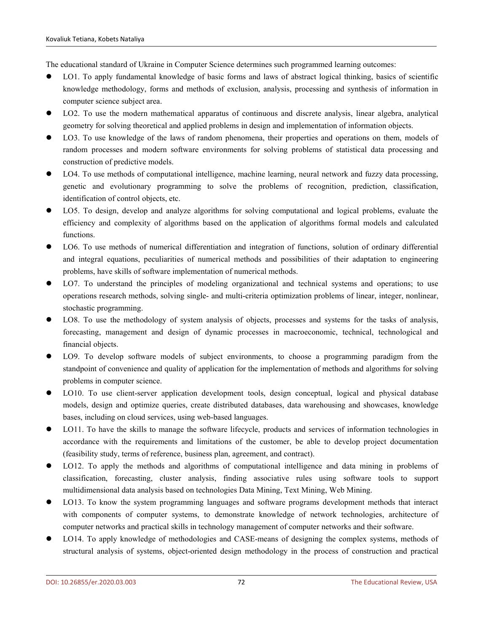The educational standard of Ukraine in Computer Science determines such programmed learning outcomes:

- LO1. To apply fundamental knowledge of basic forms and laws of abstract logical thinking, basics of scientific knowledge methodology, forms and methods of exclusion, analysis, processing and synthesis of information in computer science subject area.
- LO2. To use the modern mathematical apparatus of continuous and discrete analysis, linear algebra, analytical geometry for solving theoretical and applied problems in design and implementation of information objects.
- LO3. To use knowledge of the laws of random phenomena, their properties and operations on them, models of random processes and modern software environments for solving problems of statistical data processing and construction of predictive models.
- LO4. To use methods of computational intelligence, machine learning, neural network and fuzzy data processing, genetic and evolutionary programming to solve the problems of recognition, prediction, classification, identification of control objects, etc.
- LO5. To design, develop and analyze algorithms for solving computational and logical problems, evaluate the efficiency and complexity of algorithms based on the application of algorithms formal models and calculated functions.
- LO6. To use methods of numerical differentiation and integration of functions, solution of ordinary differential and integral equations, peculiarities of numerical methods and possibilities of their adaptation to engineering problems, have skills of software implementation of numerical methods.
- LO7. To understand the principles of modeling organizational and technical systems and operations; to use operations research methods, solving single- and multi-criteria optimization problems of linear, integer, nonlinear, stochastic programming.
- LO8. To use the methodology of system analysis of objects, processes and systems for the tasks of analysis, forecasting, management and design of dynamic processes in macroeconomic, technical, technological and financial objects.
- LO9. To develop software models of subject environments, to choose a programming paradigm from the standpoint of convenience and quality of application for the implementation of methods and algorithms for solving problems in computer science.
- LO10. To use client-server application development tools, design conceptual, logical and physical database models, design and optimize queries, create distributed databases, data warehousing and showcases, knowledge bases, including on cloud services, using web-based languages.
- LO11. To have the skills to manage the software lifecycle, products and services of information technologies in accordance with the requirements and limitations of the customer, be able to develop project documentation (feasibility study, terms of reference, business plan, agreement, and contract).
- LO12. To apply the methods and algorithms of computational intelligence and data mining in problems of classification, forecasting, cluster analysis, finding associative rules using software tools to support multidimensional data analysis based on technologies Data Mining, Text Mining, Web Mining.
- LO13. To know the system programming languages and software programs development methods that interact with components of computer systems, to demonstrate knowledge of network technologies, architecture of computer networks and practical skills in technology management of computer networks and their software.
- LO14. To apply knowledge of methodologies and CASE-means of designing the complex systems, methods of structural analysis of systems, object-oriented design methodology in the process of construction and practical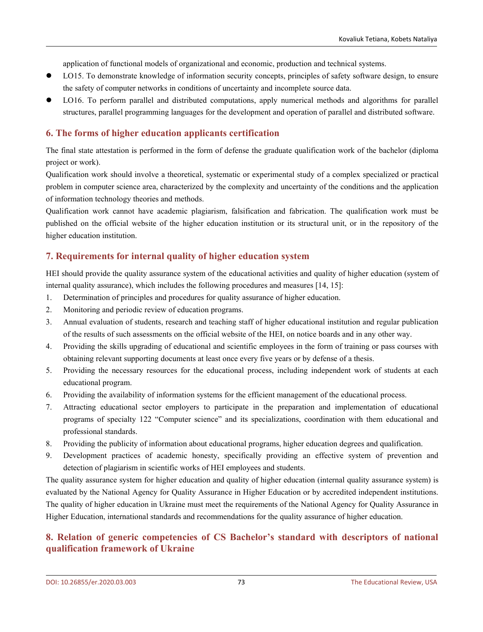application of functional models of organizational and economic, production and technical systems.

- LO15. To demonstrate knowledge of information security concepts, principles of safety software design, to ensure the safety of computer networks in conditions of uncertainty and incomplete source data.
- LO16. To perform parallel and distributed computations, apply numerical methods and algorithms for parallel structures, parallel programming languages for the development and operation of parallel and distributed software.

# **6. The forms of higher education applicants certification**

The final state attestation is performed in the form of defense the graduate qualification work of the bachelor (diploma project or work).

Qualification work should involve a theoretical, systematic or experimental study of a complex specialized or practical problem in computer science area, characterized by the complexity and uncertainty of the conditions and the application of information technology theories and methods.

Qualification work cannot have academic plagiarism, falsification and fabrication. The qualification work must be published on the official website of the higher education institution or its structural unit, or in the repository of the higher education institution.

# **7. Requirements for internal quality of higher education system**

HEI should provide the quality assurance system of the educational activities and quality of higher education (system of internal quality assurance), which includes the following procedures and measures  $[14, 15]$ :

- 1. Determination of principles and procedures for quality assurance of higher education.
- 2. Monitoring and periodic review of education programs.
- 3. Annual evaluation of students, research and teaching staff of higher educational institution and regular publication of the results of such assessments on the official website of the HEI, on notice boards and in any other way.
- 4. Providing the skills upgrading of educational and scientific employees in the form of training or pass courses with obtaining relevant supporting documents at least once every five years or by defense of a thesis.
- 5. Providing the necessary resources for the educational process, including independent work of students at each educational program.
- 6. Providing the availability of information systems for the efficient management of the educational process.
- 7. Attracting educational sector employers to participate in the preparation and implementation of educational programs of specialty 122 "Computer science" and its specializations, coordination with them educational and professional standards.
- 8. Providing the publicity of information about educational programs, higher education degrees and qualification.
- 9. Development practices of academic honesty, specifically providing an effective system of prevention and detection of plagiarism in scientific works of HEI employees and students.

The quality assurance system for higher education and quality of higher education (internal quality assurance system) is evaluated by the National Agency for Quality Assurance in Higher Education or by accredited independent institutions. The quality of higher education in Ukraine must meet the requirements of the National Agency for Quality Assurance in Higher Education, international standards and recommendations for the quality assurance of higher education.

# **8. Relation of generic competencies of CS Bachelor's standard with descriptors of national qualification framework of Ukraine**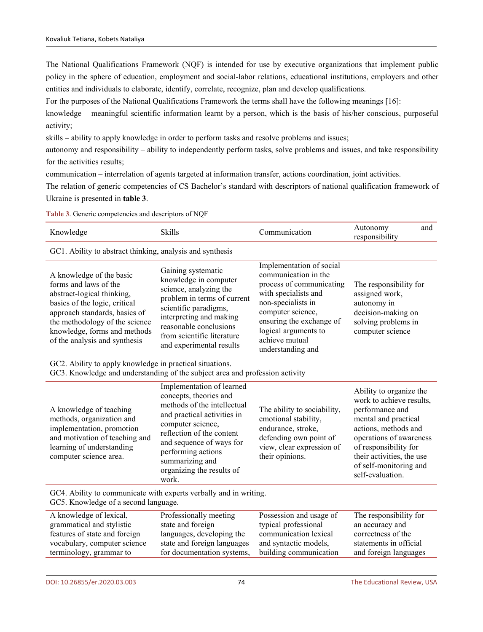The National Qualifications Framework (NQF) is intended for use by executive organizations that implement public policy in the sphere of education, employment and social-labor relations, educational institutions, employers and other entities and individuals to elaborate, identify, correlate, recognize, plan and develop qualifications.

For the purposes of the National Qualifications Framework the terms shall have the following meanings [16]:

knowledge – meaningful scientific information learnt by a person, which is the basis of his/her conscious, purposeful activity;

skills – ability to apply knowledge in order to perform tasks and resolve problems and issues;

autonomy and responsibility – ability to independently perform tasks, solve problems and issues, and take responsibility for the activities results;

communication – interrelation of agents targeted at information transfer, actions coordination, joint activities.

The relation of generic competencies of CS Bachelor's standard with descriptors of national qualification framework of Ukraine is presented in **table 3**.

**Table 3**. Generic competencies and descriptors of NQF

| Knowledge                                                                                                                                                                                                                                            | <b>Skills</b>                                                                                                                                                                                                                                | Communication                                                                                                                                                                                                                              | Autonomy<br>responsibility                                                                                               | and |
|------------------------------------------------------------------------------------------------------------------------------------------------------------------------------------------------------------------------------------------------------|----------------------------------------------------------------------------------------------------------------------------------------------------------------------------------------------------------------------------------------------|--------------------------------------------------------------------------------------------------------------------------------------------------------------------------------------------------------------------------------------------|--------------------------------------------------------------------------------------------------------------------------|-----|
| GC1. Ability to abstract thinking, analysis and synthesis                                                                                                                                                                                            |                                                                                                                                                                                                                                              |                                                                                                                                                                                                                                            |                                                                                                                          |     |
| A knowledge of the basic<br>forms and laws of the<br>abstract-logical thinking,<br>basics of the logic, critical<br>approach standards, basics of<br>the methodology of the science<br>knowledge, forms and methods<br>of the analysis and synthesis | Gaining systematic<br>knowledge in computer<br>science, analyzing the<br>problem in terms of current<br>scientific paradigms,<br>interpreting and making<br>reasonable conclusions<br>from scientific literature<br>and experimental results | Implementation of social<br>communication in the<br>process of communicating<br>with specialists and<br>non-specialists in<br>computer science,<br>ensuring the exchange of<br>logical arguments to<br>achieve mutual<br>understanding and | The responsibility for<br>assigned work,<br>autonomy in<br>decision-making on<br>solving problems in<br>computer science |     |

GC2. Ability to apply knowledge in practical situations.

GC3. Knowledge and understanding of the subject area and profession activity

|                                                                                                                                                                            | Implementation of learned<br>concepts, theories and                                                                                                                                                                     |                                                                                                                                                     | Ability to organize the                                                                                                                                                                                                    |  |
|----------------------------------------------------------------------------------------------------------------------------------------------------------------------------|-------------------------------------------------------------------------------------------------------------------------------------------------------------------------------------------------------------------------|-----------------------------------------------------------------------------------------------------------------------------------------------------|----------------------------------------------------------------------------------------------------------------------------------------------------------------------------------------------------------------------------|--|
| A knowledge of teaching<br>methods, organization and<br>implementation, promotion<br>and motivation of teaching and<br>learning of understanding<br>computer science area. | methods of the intellectual<br>and practical activities in<br>computer science,<br>reflection of the content<br>and sequence of ways for<br>performing actions<br>summarizing and<br>organizing the results of<br>work. | The ability to sociability,<br>emotional stability,<br>endurance, stroke,<br>defending own point of<br>view, clear expression of<br>their opinions. | work to achieve results,<br>performance and<br>mental and practical<br>actions, methods and<br>operations of awareness<br>of responsibility for<br>their activities, the use<br>of self-monitoring and<br>self-evaluation. |  |
| GC4. Ability to communicate with experts verbally and in writing.<br>GC5. Knowledge of a second language.                                                                  |                                                                                                                                                                                                                         |                                                                                                                                                     |                                                                                                                                                                                                                            |  |
| A knowledge of lexical,<br>grammatical and stylistic                                                                                                                       | Professionally meeting<br>state and foreign                                                                                                                                                                             | Possession and usage of<br>typical professional                                                                                                     | The responsibility for<br>an accuracy and                                                                                                                                                                                  |  |
| features of state and foreign                                                                                                                                              | languages, developing the                                                                                                                                                                                               | communication lexical                                                                                                                               | correctness of the                                                                                                                                                                                                         |  |
| vocabulary, computer science                                                                                                                                               | state and foreign languages                                                                                                                                                                                             | and syntactic models,                                                                                                                               | statements in official                                                                                                                                                                                                     |  |
| terminology, grammar to                                                                                                                                                    | for documentation systems,                                                                                                                                                                                              | building communication                                                                                                                              | and foreign languages                                                                                                                                                                                                      |  |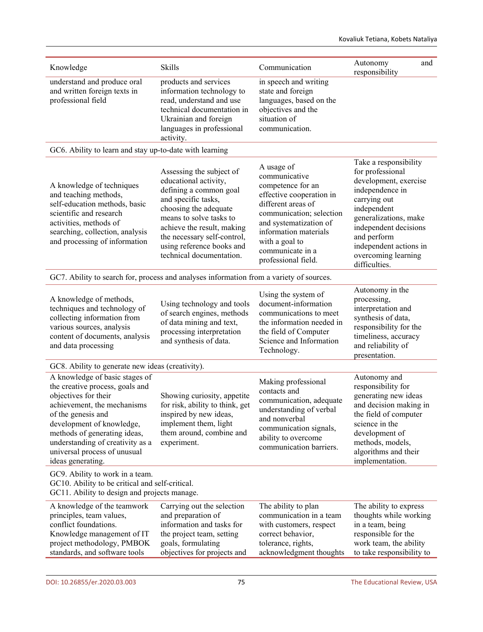| Knowledge                                                                                                                                                                                                                                                                                            | Skills                                                                                                                                                                                                                                                                       | Communication                                                                                                                                                                                                                                  | Autonomy<br>responsibility                                                                                                                                                                                                                              |
|------------------------------------------------------------------------------------------------------------------------------------------------------------------------------------------------------------------------------------------------------------------------------------------------------|------------------------------------------------------------------------------------------------------------------------------------------------------------------------------------------------------------------------------------------------------------------------------|------------------------------------------------------------------------------------------------------------------------------------------------------------------------------------------------------------------------------------------------|---------------------------------------------------------------------------------------------------------------------------------------------------------------------------------------------------------------------------------------------------------|
| understand and produce oral<br>and written foreign texts in<br>professional field                                                                                                                                                                                                                    | products and services<br>information technology to<br>read, understand and use<br>technical documentation in<br>Ukrainian and foreign<br>languages in professional<br>activity.                                                                                              | in speech and writing<br>state and foreign<br>languages, based on the<br>objectives and the<br>situation of<br>communication.                                                                                                                  |                                                                                                                                                                                                                                                         |
| GC6. Ability to learn and stay up-to-date with learning                                                                                                                                                                                                                                              |                                                                                                                                                                                                                                                                              |                                                                                                                                                                                                                                                |                                                                                                                                                                                                                                                         |
| A knowledge of techniques<br>and teaching methods,<br>self-education methods, basic<br>scientific and research<br>activities, methods of<br>searching, collection, analysis<br>and processing of information                                                                                         | Assessing the subject of<br>educational activity,<br>defining a common goal<br>and specific tasks,<br>choosing the adequate<br>means to solve tasks to<br>achieve the result, making<br>the necessary self-control,<br>using reference books and<br>technical documentation. | A usage of<br>communicative<br>competence for an<br>effective cooperation in<br>different areas of<br>communication; selection<br>and systematization of<br>information materials<br>with a goal to<br>communicate in a<br>professional field. | Take a responsibility<br>for professional<br>development, exercise<br>independence in<br>carrying out<br>independent<br>generalizations, make<br>independent decisions<br>and perform<br>independent actions in<br>overcoming learning<br>difficulties. |
| GC7. Ability to search for, process and analyses information from a variety of sources.                                                                                                                                                                                                              |                                                                                                                                                                                                                                                                              |                                                                                                                                                                                                                                                |                                                                                                                                                                                                                                                         |
| A knowledge of methods,<br>techniques and technology of<br>collecting information from<br>various sources, analysis<br>content of documents, analysis<br>and data processing                                                                                                                         | Using technology and tools<br>of search engines, methods<br>of data mining and text,<br>processing interpretation<br>and synthesis of data.                                                                                                                                  | Using the system of<br>document-information<br>communications to meet<br>the information needed in<br>the field of Computer<br>Science and Information<br>Technology.                                                                          | Autonomy in the<br>processing,<br>interpretation and<br>synthesis of data,<br>responsibility for the<br>timeliness, accuracy<br>and reliability of<br>presentation.                                                                                     |
| GC8. Ability to generate new ideas (creativity).                                                                                                                                                                                                                                                     |                                                                                                                                                                                                                                                                              |                                                                                                                                                                                                                                                |                                                                                                                                                                                                                                                         |
| A knowledge of basic stages of<br>the creative process, goals and<br>objectives for their<br>achievement, the mechanisms<br>of the genesis and<br>development of knowledge,<br>methods of generating ideas,<br>understanding of creativity as a<br>universal process of unusual<br>ideas generating. | Showing curiosity, appetite<br>for risk, ability to think, get<br>inspired by new ideas,<br>implement them, light<br>them around, combine and<br>experiment.                                                                                                                 | Making professional<br>contacts and<br>communication, adequate<br>understanding of verbal<br>and nonverbal<br>communication signals,<br>ability to overcome<br>communication barriers.                                                         | Autonomy and<br>responsibility for<br>generating new ideas<br>and decision making in<br>the field of computer<br>science in the<br>development of<br>methods, models,<br>algorithms and their<br>implementation.                                        |
| GC9. Ability to work in a team.<br>GC10. Ability to be critical and self-critical.<br>GC11. Ability to design and projects manage.                                                                                                                                                                   |                                                                                                                                                                                                                                                                              |                                                                                                                                                                                                                                                |                                                                                                                                                                                                                                                         |
| A knowledge of the teamwork<br>principles, team values,<br>conflict foundations.<br>Knowledge management of IT<br>project methodology, PMBOK<br>standards, and software tools                                                                                                                        | Carrying out the selection<br>and preparation of<br>information and tasks for<br>the project team, setting<br>goals, formulating<br>objectives for projects and                                                                                                              | The ability to plan<br>communication in a team<br>with customers, respect<br>correct behavior,<br>tolerance, rights,<br>acknowledgment thoughts                                                                                                | The ability to express<br>thoughts while working<br>in a team, being<br>responsible for the<br>work team, the ability<br>to take responsibility to                                                                                                      |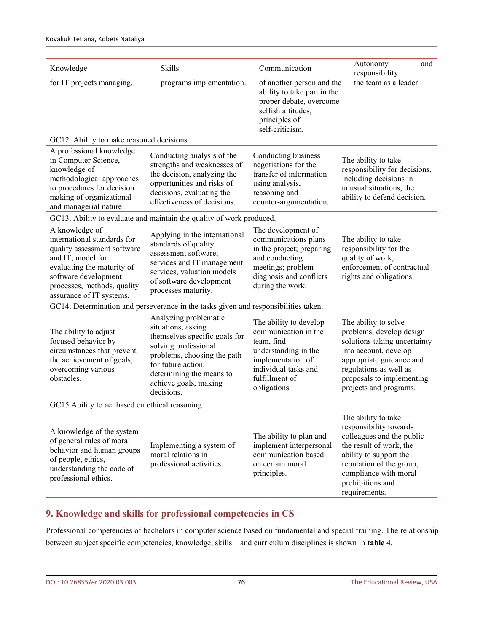| Knowledge                                                                                                                                                                                                          | Skills                                                                                                                                                                                                                       | Communication                                                                                                                                                       | and<br>Autonomy<br>responsibility                                                                                                                                                                                         |
|--------------------------------------------------------------------------------------------------------------------------------------------------------------------------------------------------------------------|------------------------------------------------------------------------------------------------------------------------------------------------------------------------------------------------------------------------------|---------------------------------------------------------------------------------------------------------------------------------------------------------------------|---------------------------------------------------------------------------------------------------------------------------------------------------------------------------------------------------------------------------|
| for IT projects managing.                                                                                                                                                                                          | programs implementation.                                                                                                                                                                                                     | of another person and the<br>ability to take part in the<br>proper debate, overcome<br>selfish attitudes,<br>principles of<br>self-criticism.                       | the team as a leader.                                                                                                                                                                                                     |
| GC12. Ability to make reasoned decisions.                                                                                                                                                                          |                                                                                                                                                                                                                              |                                                                                                                                                                     |                                                                                                                                                                                                                           |
| A professional knowledge<br>in Computer Science,<br>knowledge of<br>methodological approaches<br>to procedures for decision<br>making of organizational<br>and managerial nature.                                  | Conducting analysis of the<br>strengths and weaknesses of<br>the decision, analyzing the<br>opportunities and risks of<br>decisions, evaluating the<br>effectiveness of decisions.                                           | Conducting business<br>negotiations for the<br>transfer of information<br>using analysis,<br>reasoning and<br>counter-argumentation.                                | The ability to take<br>responsibility for decisions,<br>including decisions in<br>unusual situations, the<br>ability to defend decision.                                                                                  |
|                                                                                                                                                                                                                    | GC13. Ability to evaluate and maintain the quality of work produced.                                                                                                                                                         |                                                                                                                                                                     |                                                                                                                                                                                                                           |
| A knowledge of<br>international standards for<br>quality assessment software<br>and IT, model for<br>evaluating the maturity of<br>software development<br>processes, methods, quality<br>assurance of IT systems. | Applying in the international<br>standards of quality<br>assessment software,<br>services and IT management<br>services, valuation models<br>of software development<br>processes maturity.                                  | The development of<br>communications plans<br>in the project; preparing<br>and conducting<br>meetings; problem<br>diagnosis and conflicts<br>during the work.       | The ability to take<br>responsibility for the<br>quality of work,<br>enforcement of contractual<br>rights and obligations.                                                                                                |
|                                                                                                                                                                                                                    | GC14. Determination and perseverance in the tasks given and responsibilities taken.                                                                                                                                          |                                                                                                                                                                     |                                                                                                                                                                                                                           |
| The ability to adjust<br>focused behavior by<br>circumstances that prevent<br>the achievement of goals,<br>overcoming various<br>obstacles.                                                                        | Analyzing problematic<br>situations, asking<br>themselves specific goals for<br>solving professional<br>problems, choosing the path<br>for future action,<br>determining the means to<br>achieve goals, making<br>decisions. | The ability to develop<br>communication in the<br>team, find<br>understanding in the<br>implementation of<br>individual tasks and<br>fulfillment of<br>obligations. | The ability to solve<br>problems, develop design<br>solutions taking uncertainty<br>into account, develop<br>appropriate guidance and<br>regulations as well as<br>proposals to implementing<br>projects and programs.    |
| GC15. Ability to act based on ethical reasoning.                                                                                                                                                                   |                                                                                                                                                                                                                              |                                                                                                                                                                     |                                                                                                                                                                                                                           |
| A knowledge of the system<br>of general rules of moral<br>behavior and human groups<br>of people, ethics,<br>understanding the code of<br>professional ethics.                                                     | Implementing a system of<br>moral relations in<br>professional activities.                                                                                                                                                   | The ability to plan and<br>implement interpersonal<br>communication based<br>on certain moral<br>principles.                                                        | The ability to take<br>responsibility towards<br>colleagues and the public<br>the result of work, the<br>ability to support the<br>reputation of the group,<br>compliance with moral<br>prohibitions and<br>requirements. |

# **9. Knowledge and skills for professional competencies in CS**

Professional competencies of bachelors in computer science based on fundamental and special training. The relationship between subject specific competencies, knowledge, skills and curriculum disciplines is shown in **table 4**.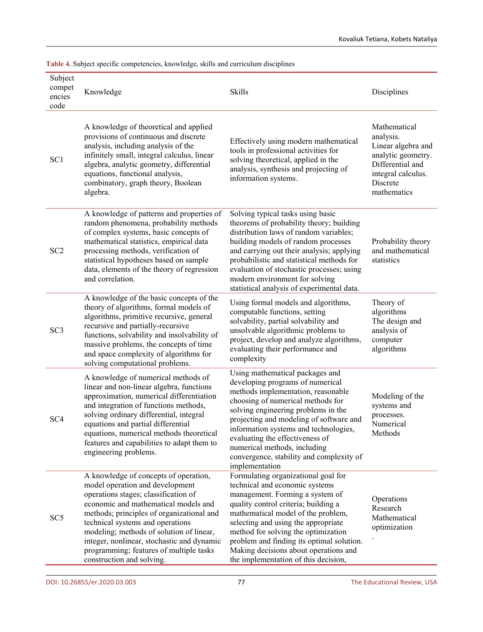| Subject<br>compet<br>encies<br>code | Knowledge                                                                                                                                                                                                                                                                                                                                                                                                   | <b>Skills</b>                                                                                                                                                                                                                                                                                                                                                                                              | Disciplines                                                                                                                                |
|-------------------------------------|-------------------------------------------------------------------------------------------------------------------------------------------------------------------------------------------------------------------------------------------------------------------------------------------------------------------------------------------------------------------------------------------------------------|------------------------------------------------------------------------------------------------------------------------------------------------------------------------------------------------------------------------------------------------------------------------------------------------------------------------------------------------------------------------------------------------------------|--------------------------------------------------------------------------------------------------------------------------------------------|
| SC <sub>1</sub>                     | A knowledge of theoretical and applied<br>provisions of continuous and discrete<br>analysis, including analysis of the<br>infinitely small, integral calculus, linear<br>algebra, analytic geometry, differential<br>equations, functional analysis,<br>combinatory, graph theory, Boolean<br>algebra.                                                                                                      | Effectively using modern mathematical<br>tools in professional activities for<br>solving theoretical, applied in the<br>analysis, synthesis and projecting of<br>information systems.                                                                                                                                                                                                                      | Mathematical<br>analysis.<br>Linear algebra and<br>analytic geometry.<br>Differential and<br>integral calculus.<br>Discrete<br>mathematics |
| SC <sub>2</sub>                     | A knowledge of patterns and properties of<br>random phenomena, probability methods<br>of complex systems, basic concepts of<br>mathematical statistics, empirical data<br>processing methods, verification of<br>statistical hypotheses based on sample<br>data, elements of the theory of regression<br>and correlation.                                                                                   | Solving typical tasks using basic<br>theorems of probability theory; building<br>distribution laws of random variables;<br>building models of random processes<br>and carrying out their analysis; applying<br>probabilistic and statistical methods for<br>evaluation of stochastic processes; using<br>modern environment for solving<br>statistical analysis of experimental data.                      | Probability theory<br>and mathematical<br>statistics                                                                                       |
| SC <sub>3</sub>                     | A knowledge of the basic concepts of the<br>theory of algorithms, formal models of<br>algorithms, primitive recursive, general<br>recursive and partially-recursive<br>functions, solvability and insolvability of<br>massive problems, the concepts of time<br>and space complexity of algorithms for<br>solving computational problems.                                                                   | Using formal models and algorithms,<br>computable functions, setting<br>solvability, partial solvability and<br>unsolvable algorithmic problems to<br>project, develop and analyze algorithms,<br>evaluating their performance and<br>complexity                                                                                                                                                           | Theory of<br>algorithms<br>The design and<br>analysis of<br>computer<br>algorithms                                                         |
| SC <sub>4</sub>                     | A knowledge of numerical methods of<br>linear and non-linear algebra, functions<br>approximation, numerical differentiation<br>and integration of functions methods,<br>solving ordinary differential, integral<br>equations and partial differential<br>equations, numerical methods theoretical<br>features and capabilities to adapt them to<br>engineering problems.                                    | Using mathematical packages and<br>developing programs of numerical<br>methods implementation, reasonable<br>choosing of numerical methods for<br>solving engineering problems in the<br>projecting and modeling of software and<br>information systems and technologies,<br>evaluating the effectiveness of<br>numerical methods, including<br>convergence, stability and complexity of<br>implementation | Modeling of the<br>systems and<br>processes.<br>Numerical<br>Methods                                                                       |
| SC <sub>5</sub>                     | A knowledge of concepts of operation,<br>model operation and development<br>operations stages; classification of<br>economic and mathematical models and<br>methods; principles of organizational and<br>technical systems and operations<br>modeling; methods of solution of linear,<br>integer, nonlinear, stochastic and dynamic<br>programming; features of multiple tasks<br>construction and solving. | Formulating organizational goal for<br>technical and economic systems<br>management. Forming a system of<br>quality control criteria; building a<br>mathematical model of the problem,<br>selecting and using the appropriate<br>method for solving the optimization<br>problem and finding its optimal solution.<br>Making decisions about operations and<br>the implementation of this decision,         | Operations<br>Research<br>Mathematical<br>optimization                                                                                     |

**Table 4.** Subject specific competencies, knowledge, skills and curriculum disciplines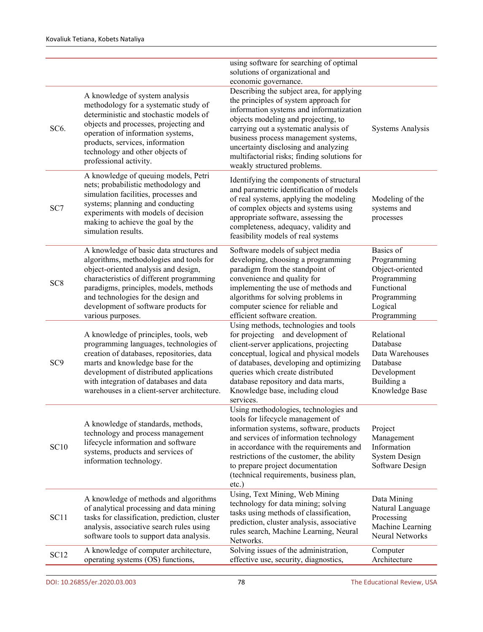|                   |                                                                                                                                                                                                                                                                                                                       | using software for searching of optimal<br>solutions of organizational and<br>economic governance.                                                                                                                                                                                                                                                                          |                                                                                                                   |
|-------------------|-----------------------------------------------------------------------------------------------------------------------------------------------------------------------------------------------------------------------------------------------------------------------------------------------------------------------|-----------------------------------------------------------------------------------------------------------------------------------------------------------------------------------------------------------------------------------------------------------------------------------------------------------------------------------------------------------------------------|-------------------------------------------------------------------------------------------------------------------|
| SC <sub>6</sub> . | A knowledge of system analysis<br>methodology for a systematic study of<br>deterministic and stochastic models of<br>objects and processes, projecting and<br>operation of information systems,<br>products, services, information<br>technology and other objects of<br>professional activity.                       | Describing the subject area, for applying<br>the principles of system approach for<br>information systems and informatization<br>objects modeling and projecting, to<br>carrying out a systematic analysis of<br>business process management systems,<br>uncertainty disclosing and analyzing<br>multifactorial risks; finding solutions for<br>weakly structured problems. | Systems Analysis                                                                                                  |
| SC7               | A knowledge of queuing models, Petri<br>nets; probabilistic methodology and<br>simulation facilities, processes and<br>systems; planning and conducting<br>experiments with models of decision<br>making to achieve the goal by the<br>simulation results.                                                            | Identifying the components of structural<br>and parametric identification of models<br>of real systems, applying the modeling<br>of complex objects and systems using<br>appropriate software, assessing the<br>completeness, adequacy, validity and<br>feasibility models of real systems                                                                                  | Modeling of the<br>systems and<br>processes                                                                       |
| SC <sub>8</sub>   | A knowledge of basic data structures and<br>algorithms, methodologies and tools for<br>object-oriented analysis and design,<br>characteristics of different programming<br>paradigms, principles, models, methods<br>and technologies for the design and<br>development of software products for<br>various purposes. | Software models of subject media<br>developing, choosing a programming<br>paradigm from the standpoint of<br>convenience and quality for<br>implementing the use of methods and<br>algorithms for solving problems in<br>computer science for reliable and<br>efficient software creation.                                                                                  | Basics of<br>Programming<br>Object-oriented<br>Programming<br>Functional<br>Programming<br>Logical<br>Programming |
| SC <sub>9</sub>   | A knowledge of principles, tools, web<br>programming languages, technologies of<br>creation of databases, repositories, data<br>marts and knowledge base for the<br>development of distributed applications<br>with integration of databases and data<br>warehouses in a client-server architecture.                  | Using methods, technologies and tools<br>for projecting and development of<br>client-server applications, projecting<br>conceptual, logical and physical models<br>of databases, developing and optimizing<br>queries which create distributed<br>database repository and data marts,<br>Knowledge base, including cloud<br>services.                                       | Relational<br>Database<br>Data Warehouses<br>Database<br>Development<br>Building a<br>Knowledge Base              |
| <b>SC10</b>       | A knowledge of standards, methods,<br>technology and process management<br>lifecycle information and software<br>systems, products and services of<br>information technology.                                                                                                                                         | Using methodologies, technologies and<br>tools for lifecycle management of<br>information systems, software, products<br>and services of information technology<br>in accordance with the requirements and<br>restrictions of the customer, the ability<br>to prepare project documentation<br>(technical requirements, business plan,<br>etc.)                             | Project<br>Management<br>Information<br><b>System Design</b><br>Software Design                                   |
| SC11              | A knowledge of methods and algorithms<br>of analytical processing and data mining<br>tasks for classification, prediction, cluster<br>analysis, associative search rules using<br>software tools to support data analysis.                                                                                            | Using, Text Mining, Web Mining<br>technology for data mining; solving<br>tasks using methods of classification,<br>prediction, cluster analysis, associative<br>rules search, Machine Learning, Neural<br>Networks.                                                                                                                                                         | Data Mining<br>Natural Language<br>Processing<br>Machine Learning<br>Neural Networks                              |
| SC12              | A knowledge of computer architecture,<br>operating systems (OS) functions,                                                                                                                                                                                                                                            | Solving issues of the administration,<br>effective use, security, diagnostics,                                                                                                                                                                                                                                                                                              | Computer<br>Architecture                                                                                          |
|                   |                                                                                                                                                                                                                                                                                                                       |                                                                                                                                                                                                                                                                                                                                                                             |                                                                                                                   |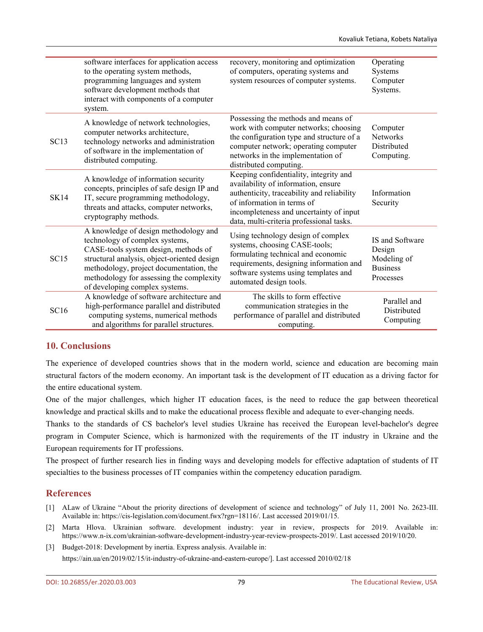|             | software interfaces for application access<br>to the operating system methods,<br>programming languages and system<br>software development methods that<br>interact with components of a computer<br>system.                                                                            | recovery, monitoring and optimization<br>of computers, operating systems and<br>system resources of computer systems.                                                                                                                            | Operating<br>Systems<br>Computer<br>Systems.                             |
|-------------|-----------------------------------------------------------------------------------------------------------------------------------------------------------------------------------------------------------------------------------------------------------------------------------------|--------------------------------------------------------------------------------------------------------------------------------------------------------------------------------------------------------------------------------------------------|--------------------------------------------------------------------------|
| <b>SC13</b> | A knowledge of network technologies,<br>computer networks architecture,<br>technology networks and administration<br>of software in the implementation of<br>distributed computing.                                                                                                     | Possessing the methods and means of<br>work with computer networks; choosing<br>the configuration type and structure of a<br>computer network; operating computer<br>networks in the implementation of<br>distributed computing.                 | Computer<br>Networks<br>Distributed<br>Computing.                        |
| <b>SK14</b> | A knowledge of information security<br>concepts, principles of safe design IP and<br>IT, secure programming methodology,<br>threats and attacks, computer networks,<br>cryptography methods.                                                                                            | Keeping confidentiality, integrity and<br>availability of information, ensure<br>authenticity, traceability and reliability<br>of information in terms of<br>incompleteness and uncertainty of input<br>data, multi-criteria professional tasks. | Information<br>Security                                                  |
| SC15        | A knowledge of design methodology and<br>technology of complex systems,<br>CASE-tools system design, methods of<br>structural analysis, object-oriented design<br>methodology, project documentation, the<br>methodology for assessing the complexity<br>of developing complex systems. | Using technology design of complex<br>systems, choosing CASE-tools;<br>formulating technical and economic<br>requirements, designing information and<br>software systems using templates and<br>automated design tools.                          | IS and Software<br>Design<br>Modeling of<br><b>Business</b><br>Processes |
| SC16        | A knowledge of software architecture and<br>high-performance parallel and distributed<br>computing systems, numerical methods<br>and algorithms for parallel structures.                                                                                                                | The skills to form effective<br>communication strategies in the<br>performance of parallel and distributed<br>computing.                                                                                                                         | Parallel and<br>Distributed<br>Computing                                 |

### **10. Conclusions**

The experience of developed countries shows that in the modern world, science and education are becoming main structural factors of the modern economy. An important task is the development of IT education as a driving factor for the entire educational system.

One of the major challenges, which higher IT education faces, is the need to reduce the gap between theoretical knowledge and practical skills and to make the educational process flexible and adequate to ever-changing needs.

Thanks to the standards of CS bachelor's level studies Ukraine has received the European level-bachelor's degree program in Computer Science, which is harmonized with the requirements of the IT industry in Ukraine and the European requirements for IT professions.

The prospect of further research lies in finding ways and developing models for effective adaptation of students of IT specialties to the business processes of IT companies within the competency education paradigm.

### **References**

- [1] ALaw of Ukraine "About the priority directions of development of science and technology" of July 11, 2001 No. 2623-III. Available in: <https://cis-legislation.com/document.fwx?rgn=18116/>. Last accessed 2019/01/15.
- [2] Marta Hlova. Ukrainian software. development industry: year in review, prospects for 2019. Available in: <https://www.n-ix.com/ukrainian-software-development-industry-year-review-prospects-2019/>. Last accessed 2019/10/20.

[3] Budget-2018: Development by inertia. Express analysis. Available in:

[https://ain.ua/en/2019/02/15/it-industry-of-ukraine-and-eastern-europe/\]](https://ain.ua/en/2019/02/15/it-industry-of-ukraine-and-eastern-europe/). Last accessed 2010/02/18